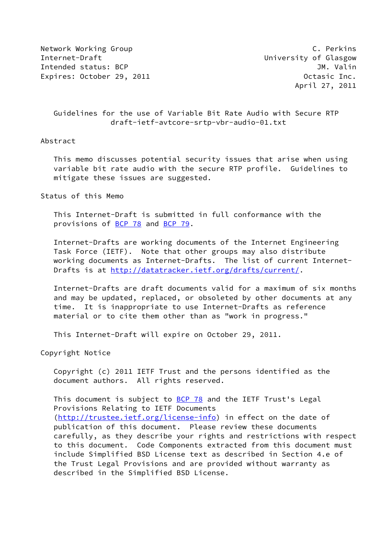Network Working Group **C. Perkins** Internet-Draft **Internet-Draft** and Communisties and University of Glasgow Intended status: BCP and the status: BCP and the status of the status of the status of the status of the status Expires: October 29, 2011 **Canadian Contract Contract Contract Contract Contract Contract Contract Contract Contract Contract Contract Contract Contract Contract Contract Contract Contract Contract Contract Contract Contra** 

April 27, 2011

# Guidelines for the use of Variable Bit Rate Audio with Secure RTP draft-ietf-avtcore-srtp-vbr-audio-01.txt

## Abstract

 This memo discusses potential security issues that arise when using variable bit rate audio with the secure RTP profile. Guidelines to mitigate these issues are suggested.

Status of this Memo

 This Internet-Draft is submitted in full conformance with the provisions of [BCP 78](https://datatracker.ietf.org/doc/pdf/bcp78) and [BCP 79](https://datatracker.ietf.org/doc/pdf/bcp79).

 Internet-Drafts are working documents of the Internet Engineering Task Force (IETF). Note that other groups may also distribute working documents as Internet-Drafts. The list of current Internet Drafts is at<http://datatracker.ietf.org/drafts/current/>.

 Internet-Drafts are draft documents valid for a maximum of six months and may be updated, replaced, or obsoleted by other documents at any time. It is inappropriate to use Internet-Drafts as reference material or to cite them other than as "work in progress."

This Internet-Draft will expire on October 29, 2011.

Copyright Notice

 Copyright (c) 2011 IETF Trust and the persons identified as the document authors. All rights reserved.

This document is subject to [BCP 78](https://datatracker.ietf.org/doc/pdf/bcp78) and the IETF Trust's Legal Provisions Relating to IETF Documents [\(http://trustee.ietf.org/license-info](http://trustee.ietf.org/license-info)) in effect on the date of publication of this document. Please review these documents carefully, as they describe your rights and restrictions with respect to this document. Code Components extracted from this document must include Simplified BSD License text as described in Section 4.e of the Trust Legal Provisions and are provided without warranty as described in the Simplified BSD License.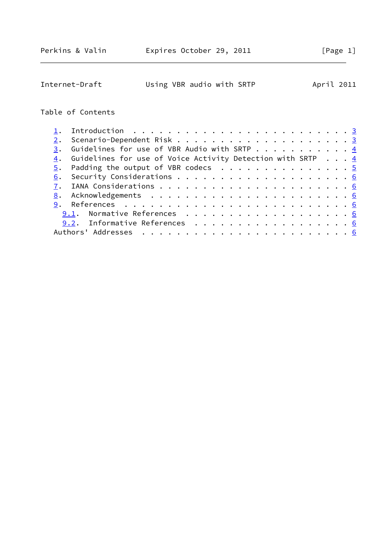| Internet-Draft | Using VBR audio with SRTP | April 2011 |  |
|----------------|---------------------------|------------|--|
|                |                           |            |  |

# Table of Contents

|    | 3. Guidelines for use of VBR Audio with SRTP 4                         |  |
|----|------------------------------------------------------------------------|--|
|    | 4. Guidelines for use of Voice Activity Detection with SRTP $\ldots$ 4 |  |
|    | $\frac{5}{2}$ . Padding the output of VBR codecs 5                     |  |
| 6. |                                                                        |  |
|    |                                                                        |  |
|    |                                                                        |  |
|    |                                                                        |  |
|    |                                                                        |  |
|    | 9.2. Informative References 6                                          |  |
|    |                                                                        |  |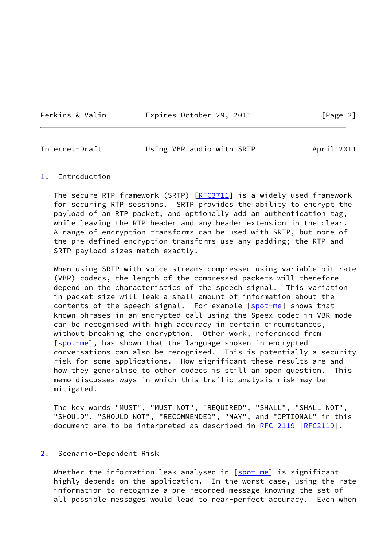Perkins & Valin **Expires October 29, 2011** [Page 2]

<span id="page-2-1"></span>Internet-Draft Using VBR audio with SRTP April 2011

#### <span id="page-2-0"></span>[1](#page-2-0). Introduction

The secure RTP framework (SRTP)  $[REC3711]$  is a widely used framework for securing RTP sessions. SRTP provides the ability to encrypt the payload of an RTP packet, and optionally add an authentication tag, while leaving the RTP header and any header extension in the clear. A range of encryption transforms can be used with SRTP, but none of the pre-defined encryption transforms use any padding; the RTP and SRTP payload sizes match exactly.

 When using SRTP with voice streams compressed using variable bit rate (VBR) codecs, the length of the compressed packets will therefore depend on the characteristics of the speech signal. This variation in packet size will leak a small amount of information about the contents of the speech signal. For example [\[spot-me](#page-6-3)] shows that known phrases in an encrypted call using the Speex codec in VBR mode can be recognised with high accuracy in certain circumstances, without breaking the encryption. Other work, referenced from [\[spot-me](#page-6-3)], has shown that the language spoken in encrypted conversations can also be recognised. This is potentially a security risk for some applications. How significant these results are and how they generalise to other codecs is still an open question. This memo discusses ways in which this traffic analysis risk may be mitigated.

 The key words "MUST", "MUST NOT", "REQUIRED", "SHALL", "SHALL NOT", "SHOULD", "SHOULD NOT", "RECOMMENDED", "MAY", and "OPTIONAL" in this document are to be interpreted as described in [RFC 2119 \[RFC2119](https://datatracker.ietf.org/doc/pdf/rfc2119)].

### <span id="page-2-2"></span>[2](#page-2-2). Scenario-Dependent Risk

Whether the information leak analysed in [\[spot-me](#page-6-3)] is significant highly depends on the application. In the worst case, using the rate information to recognize a pre-recorded message knowing the set of all possible messages would lead to near-perfect accuracy. Even when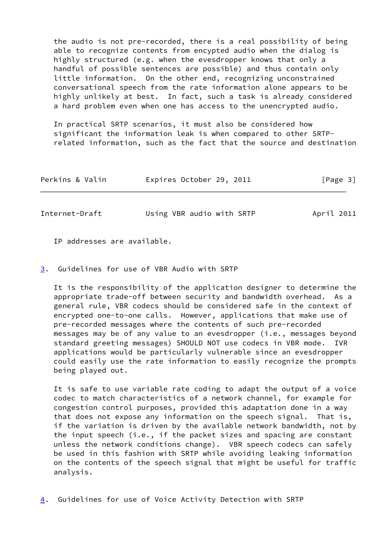the audio is not pre-recorded, there is a real possibility of being able to recognize contents from encypted audio when the dialog is highly structured (e.g. when the evesdropper knows that only a handful of possible sentences are possible) and thus contain only little information. On the other end, recognizing unconstrained conversational speech from the rate information alone appears to be highly unlikely at best. In fact, such a task is already considered a hard problem even when one has access to the unencrypted audio.

 In practical SRTP scenarios, it must also be considered how significant the information leak is when compared to other SRTP related information, such as the fact that the source and destination

| Perkins & Valin | Expires October 29, 2011 | [Page 3] |
|-----------------|--------------------------|----------|
|                 |                          |          |

<span id="page-3-1"></span>Internet-Draft Using VBR audio with SRTP April 2011

IP addresses are available.

<span id="page-3-0"></span>[3](#page-3-0). Guidelines for use of VBR Audio with SRTP

 It is the responsibility of the application designer to determine the appropriate trade-off between security and bandwidth overhead. As a general rule, VBR codecs should be considered safe in the context of encrypted one-to-one calls. However, applications that make use of pre-recorded messages where the contents of such pre-recorded messages may be of any value to an evesdropper (i.e., messages beyond standard greeting messages) SHOULD NOT use codecs in VBR mode. IVR applications would be particularly vulnerable since an evesdropper could easily use the rate information to easily recognize the prompts being played out.

 It is safe to use variable rate coding to adapt the output of a voice codec to match characteristics of a network channel, for example for congestion control purposes, provided this adaptation done in a way that does not expose any information on the speech signal. That is, if the variation is driven by the available network bandwidth, not by the input speech (i.e., if the packet sizes and spacing are constant unless the network conditions change). VBR speech codecs can safely be used in this fashion with SRTP while avoiding leaking information on the contents of the speech signal that might be useful for traffic analysis.

<span id="page-3-2"></span>[4](#page-3-2). Guidelines for use of Voice Activity Detection with SRTP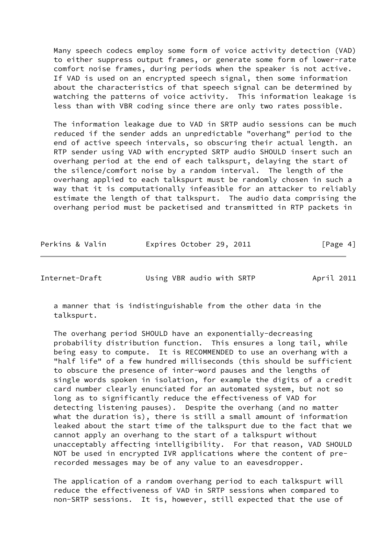Many speech codecs employ some form of voice activity detection (VAD) to either suppress output frames, or generate some form of lower-rate comfort noise frames, during periods when the speaker is not active. If VAD is used on an encrypted speech signal, then some information about the characteristics of that speech signal can be determined by watching the patterns of voice activity. This information leakage is less than with VBR coding since there are only two rates possible.

 The information leakage due to VAD in SRTP audio sessions can be much reduced if the sender adds an unpredictable "overhang" period to the end of active speech intervals, so obscuring their actual length. an RTP sender using VAD with encrypted SRTP audio SHOULD insert such an overhang period at the end of each talkspurt, delaying the start of the silence/comfort noise by a random interval. The length of the overhang applied to each talkspurt must be randomly chosen in such a way that it is computationally infeasible for an attacker to reliably estimate the length of that talkspurt. The audio data comprising the overhang period must be packetised and transmitted in RTP packets in

| Perkins & Valin | Expires October 29, 2011 |  | [Page 4] |
|-----------------|--------------------------|--|----------|
|-----------------|--------------------------|--|----------|

<span id="page-4-0"></span>Internet-Draft Using VBR audio with SRTP April 2011

 a manner that is indistinguishable from the other data in the talkspurt.

 The overhang period SHOULD have an exponentially-decreasing probability distribution function. This ensures a long tail, while being easy to compute. It is RECOMMENDED to use an overhang with a "half life" of a few hundred milliseconds (this should be sufficient to obscure the presence of inter-word pauses and the lengths of single words spoken in isolation, for example the digits of a credit card number clearly enunciated for an automated system, but not so long as to significantly reduce the effectiveness of VAD for detecting listening pauses). Despite the overhang (and no matter what the duration is), there is still a small amount of information leaked about the start time of the talkspurt due to the fact that we cannot apply an overhang to the start of a talkspurt without unacceptably affecting intelligibility. For that reason, VAD SHOULD NOT be used in encrypted IVR applications where the content of pre recorded messages may be of any value to an eavesdropper.

 The application of a random overhang period to each talkspurt will reduce the effectiveness of VAD in SRTP sessions when compared to non-SRTP sessions. It is, however, still expected that the use of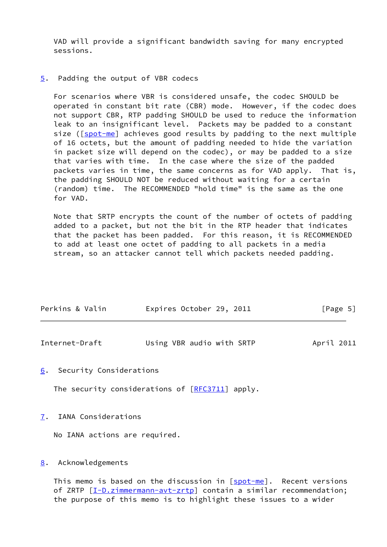VAD will provide a significant bandwidth saving for many encrypted sessions.

<span id="page-5-0"></span>[5](#page-5-0). Padding the output of VBR codecs

 For scenarios where VBR is considered unsafe, the codec SHOULD be operated in constant bit rate (CBR) mode. However, if the codec does not support CBR, RTP padding SHOULD be used to reduce the information leak to an insignificant level. Packets may be padded to a constant size ( $[spot-me$  $[spot-me$ ] achieves good results by padding to the next multiple of 16 octets, but the amount of padding needed to hide the variation in packet size will depend on the codec), or may be padded to a size that varies with time. In the case where the size of the padded packets varies in time, the same concerns as for VAD apply. That is, the padding SHOULD NOT be reduced without waiting for a certain (random) time. The RECOMMENDED "hold time" is the same as the one for VAD.

 Note that SRTP encrypts the count of the number of octets of padding added to a packet, but not the bit in the RTP header that indicates that the packet has been padded. For this reason, it is RECOMMENDED to add at least one octet of padding to all packets in a media stream, so an attacker cannot tell which packets needed padding.

| Perkins & Valin | Expires October 29, 2011 | [Page 5] |
|-----------------|--------------------------|----------|
|                 |                          |          |

<span id="page-5-2"></span>

| Internet-Draft | Using VBR audio with SRTP | April 2011 |
|----------------|---------------------------|------------|
|----------------|---------------------------|------------|

<span id="page-5-1"></span>[6](#page-5-1). Security Considerations

The security considerations of  $[REC3711]$  apply.

<span id="page-5-3"></span>[7](#page-5-3). IANA Considerations

No IANA actions are required.

#### <span id="page-5-4"></span>[8](#page-5-4). Acknowledgements

 This memo is based on the discussion in [\[spot-me](#page-6-3)]. Recent versions of ZRTP [\[I-D.zimmermann-avt-zrtp](#page-6-4)] contain a similar recommendation; the purpose of this memo is to highlight these issues to a wider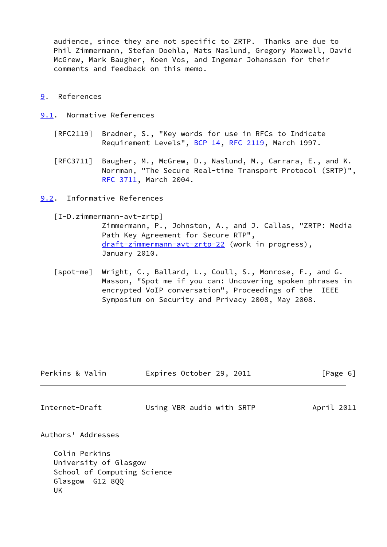audience, since they are not specific to ZRTP. Thanks are due to Phil Zimmermann, Stefan Doehla, Mats Naslund, Gregory Maxwell, David McGrew, Mark Baugher, Koen Vos, and Ingemar Johansson for their comments and feedback on this memo.

- <span id="page-6-0"></span>[9](#page-6-0). References
- <span id="page-6-1"></span>[9.1](#page-6-1). Normative References
	- [RFC2119] Bradner, S., "Key words for use in RFCs to Indicate Requirement Levels", [BCP 14](https://datatracker.ietf.org/doc/pdf/bcp14), [RFC 2119](https://datatracker.ietf.org/doc/pdf/rfc2119), March 1997.
	- [RFC3711] Baugher, M., McGrew, D., Naslund, M., Carrara, E., and K. Norrman, "The Secure Real-time Transport Protocol (SRTP)", [RFC 3711,](https://datatracker.ietf.org/doc/pdf/rfc3711) March 2004.
- <span id="page-6-4"></span><span id="page-6-2"></span>[9.2](#page-6-2). Informative References
	- [I-D.zimmermann-avt-zrtp]

 Zimmermann, P., Johnston, A., and J. Callas, "ZRTP: Media Path Key Agreement for Secure RTP", [draft-zimmermann-avt-zrtp-22](https://datatracker.ietf.org/doc/pdf/draft-zimmermann-avt-zrtp-22) (work in progress), January 2010.

<span id="page-6-3"></span> [spot-me] Wright, C., Ballard, L., Coull, S., Monrose, F., and G. Masson, "Spot me if you can: Uncovering spoken phrases in encrypted VoIP conversation", Proceedings of the IEEE Symposium on Security and Privacy 2008, May 2008.

| Perkins & Valin    | Expires October 29, 2011  | [Page 6]   |
|--------------------|---------------------------|------------|
| Internet-Draft     | Using VBR audio with SRTP | April 2011 |
| Authors' Addresses |                           |            |

 Colin Perkins University of Glasgow School of Computing Science Glasgow G12 8QQ UK